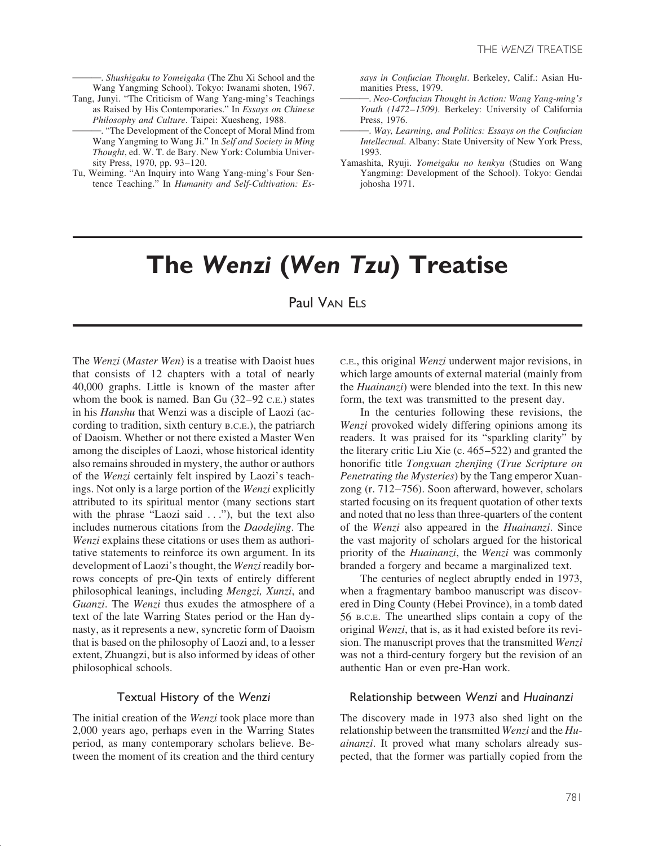. *Shushigaku to Yomeigaka* (The Zhu Xi School and the Wang Yangming School). Tokyo: Iwanami shoten, 1967.

- Tang, Junyi. "The Criticism of Wang Yang-ming's Teachings as Raised by His Contemporaries." In *Essays on Chinese Philosophy and Culture*. Taipei: Xuesheng, 1988.
- -. "The Development of the Concept of Moral Mind from Wang Yangming to Wang Ji." In *Self and Society in Ming Thought*, ed. W. T. de Bary. New York: Columbia University Press, 1970, pp. 93–120.
- Tu, Weiming. "An Inquiry into Wang Yang-ming's Four Sentence Teaching." In *Humanity and Self-Cultivation: Es-*

*says in Confucian Thought*. Berkeley, Calif.: Asian Humanities Press, 1979.

- *Reo-Confucian Thought in Action: Wang Yang-ming's Youth (1472–1509)*. Berkeley: University of California Press, 1976.
- $-$ . Way, Learning, and Politics: Essays on the Confucian *Intellectual*. Albany: State University of New York Press, 1993.
- Yamashita, Ryuji. *Yomeigaku no kenkyu* (Studies on Wang Yangming: Development of the School). Tokyo: Gendai johosha 1971.

# **The** *Wenzi* **(***Wen Tzu***) Treatise**

## Paul VAN ELS

The *Wenzi* (*Master Wen*) is a treatise with Daoist hues that consists of 12 chapters with a total of nearly 40,000 graphs. Little is known of the master after whom the book is named. Ban Gu (32–92 C.E.) states in his *Hanshu* that Wenzi was a disciple of Laozi (according to tradition, sixth century B.C.E.), the patriarch of Daoism. Whether or not there existed a Master Wen among the disciples of Laozi, whose historical identity also remains shrouded in mystery, the author or authors of the *Wenzi* certainly felt inspired by Laozi's teachings. Not only is a large portion of the *Wenzi* explicitly attributed to its spiritual mentor (many sections start with the phrase "Laozi said  $\ldots$ "), but the text also includes numerous citations from the *Daodejing*. The *Wenzi* explains these citations or uses them as authoritative statements to reinforce its own argument. In its development of Laozi's thought, the *Wenzi* readily borrows concepts of pre-Qin texts of entirely different philosophical leanings, including *Mengzi, Xunzi*, and *Guanzi*. The *Wenzi* thus exudes the atmosphere of a text of the late Warring States period or the Han dynasty, as it represents a new, syncretic form of Daoism that is based on the philosophy of Laozi and, to a lesser extent, Zhuangzi, but is also informed by ideas of other philosophical schools.

#### Textual History of the *Wenzi*

The initial creation of the *Wenzi* took place more than 2,000 years ago, perhaps even in the Warring States period, as many contemporary scholars believe. Between the moment of its creation and the third century C.E., this original *Wenzi* underwent major revisions, in which large amounts of external material (mainly from the *Huainanzi*) were blended into the text. In this new form, the text was transmitted to the present day.

In the centuries following these revisions, the *Wenzi* provoked widely differing opinions among its readers. It was praised for its "sparkling clarity" by the literary critic Liu Xie (c. 465–522) and granted the honorific title *Tongxuan zhenjing* (*True Scripture on Penetrating the Mysteries*) by the Tang emperor Xuanzong (r. 712–756). Soon afterward, however, scholars started focusing on its frequent quotation of other texts and noted that no less than three-quarters of the content of the *Wenzi* also appeared in the *Huainanzi*. Since the vast majority of scholars argued for the historical priority of the *Huainanzi*, the *Wenzi* was commonly branded a forgery and became a marginalized text.

The centuries of neglect abruptly ended in 1973, when a fragmentary bamboo manuscript was discovered in Ding County (Hebei Province), in a tomb dated 56 B.C.E. The unearthed slips contain a copy of the original *Wenzi*, that is, as it had existed before its revision. The manuscript proves that the transmitted *Wenzi* was not a third-century forgery but the revision of an authentic Han or even pre-Han work.

#### Relationship between *Wenzi* and *Huainanzi*

The discovery made in 1973 also shed light on the relationship between the transmitted *Wenzi* and the *Huainanzi*. It proved what many scholars already suspected, that the former was partially copied from the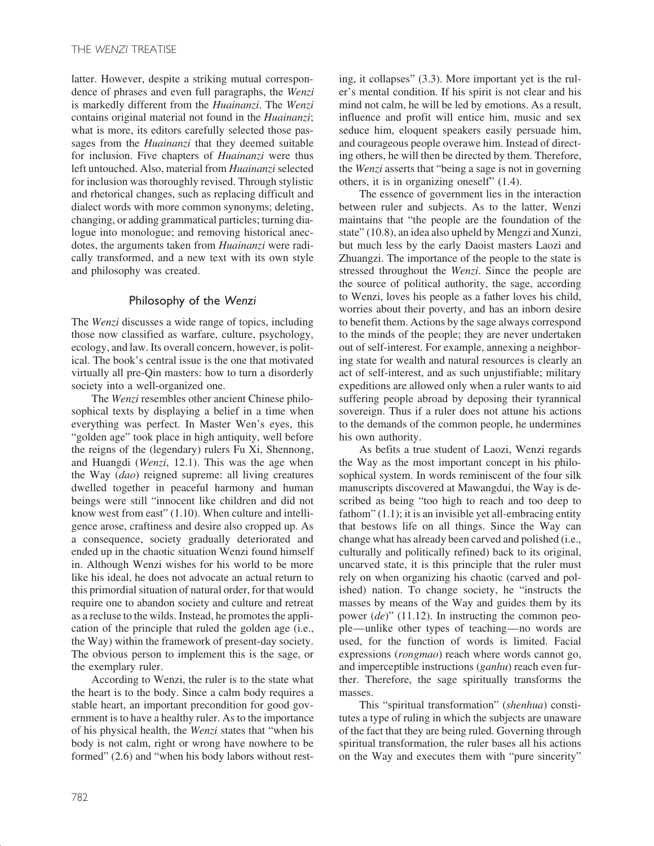latter. However, despite a striking mutual correspondence of phrases and even full paragraphs, the *Wenzi* is markedly different from the *Huainanzi*. The *Wenzi* contains original material not found in the *Huainanzi*; what is more, its editors carefully selected those passages from the *Huainanzi* that they deemed suitable for inclusion. Five chapters of *Huainanzi* were thus left untouched. Also, material from *Huainanzi* selected for inclusion was thoroughly revised. Through stylistic and rhetorical changes, such as replacing difficult and dialect words with more common synonyms; deleting, changing, or adding grammatical particles; turning dialogue into monologue; and removing historical anecdotes, the arguments taken from *Huainanzi* were radically transformed, and a new text with its own style and philosophy was created.

### Philosophy of the *Wenzi*

The *Wenzi* discusses a wide range of topics, including those now classified as warfare, culture, psychology, ecology, and law. Its overall concern, however, is political. The book's central issue is the one that motivated virtually all pre-Qin masters: how to turn a disorderly society into a well-organized one.

The *Wenzi* resembles other ancient Chinese philosophical texts by displaying a belief in a time when everything was perfect. In Master Wen's eyes, this "golden age" took place in high antiquity, well before the reigns of the (legendary) rulers Fu Xi, Shennong, and Huangdi (*Wenzi*, 12.1). This was the age when the Way (*dao*) reigned supreme: all living creatures dwelled together in peaceful harmony and human beings were still "innocent like children and did not know west from east" (1.10). When culture and intelligence arose, craftiness and desire also cropped up. As a consequence, society gradually deteriorated and ended up in the chaotic situation Wenzi found himself in. Although Wenzi wishes for his world to be more like his ideal, he does not advocate an actual return to this primordial situation of natural order, for that would require one to abandon society and culture and retreat as a recluse to the wilds. Instead, he promotes the application of the principle that ruled the golden age (i.e., the Way) within the framework of present-day society. The obvious person to implement this is the sage, or the exemplary ruler.

According to Wenzi, the ruler is to the state what the heart is to the body. Since a calm body requires a stable heart, an important precondition for good government is to have a healthy ruler. As to the importance of his physical health, the *Wenzi* states that "when his body is not calm, right or wrong have nowhere to be formed" (2.6) and "when his body labors without resting, it collapses" (3.3). More important yet is the ruler's mental condition. If his spirit is not clear and his mind not calm, he will be led by emotions. As a result, influence and profit will entice him, music and sex seduce him, eloquent speakers easily persuade him, and courageous people overawe him. Instead of directing others, he will then be directed by them. Therefore, the *Wenzi* asserts that "being a sage is not in governing others, it is in organizing oneself" (1.4).

The essence of government lies in the interaction between ruler and subjects. As to the latter, Wenzi maintains that "the people are the foundation of the state" (10.8), an idea also upheld by Mengzi and Xunzi, but much less by the early Daoist masters Laozi and Zhuangzi. The importance of the people to the state is stressed throughout the *Wenzi*. Since the people are the source of political authority, the sage, according to Wenzi, loves his people as a father loves his child, worries about their poverty, and has an inborn desire to benefit them. Actions by the sage always correspond to the minds of the people; they are never undertaken out of self-interest. For example, annexing a neighboring state for wealth and natural resources is clearly an act of self-interest, and as such unjustifiable; military expeditions are allowed only when a ruler wants to aid suffering people abroad by deposing their tyrannical sovereign. Thus if a ruler does not attune his actions to the demands of the common people, he undermines his own authority.

As befits a true student of Laozi, Wenzi regards the Way as the most important concept in his philosophical system. In words reminiscent of the four silk manuscripts discovered at Mawangdui, the Way is described as being "too high to reach and too deep to fathom"  $(1.1)$ ; it is an invisible yet all-embracing entity that bestows life on all things. Since the Way can change what has already been carved and polished (i.e., culturally and politically refined) back to its original, uncarved state, it is this principle that the ruler must rely on when organizing his chaotic (carved and polished) nation. To change society, he "instructs the masses by means of the Way and guides them by its power (*de*)" (11.12). In instructing the common people—unlike other types of teaching—no words are used, for the function of words is limited. Facial expressions (*rongmao*) reach where words cannot go, and imperceptible instructions (*ganhu*) reach even further. Therefore, the sage spiritually transforms the masses.

This "spiritual transformation" (*shenhua*) constitutes a type of ruling in which the subjects are unaware of the fact that they are being ruled. Governing through spiritual transformation, the ruler bases all his actions on the Way and executes them with "pure sincerity"